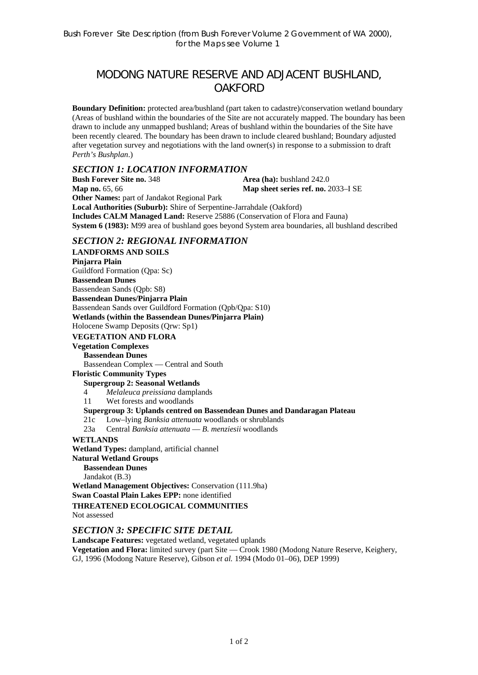# MODONG NATURE RESERVE AND ADJACENT BUSHLAND, OAKFORD

**Boundary Definition:** protected area/bushland (part taken to cadastre)/conservation wetland boundary (Areas of bushland within the boundaries of the Site are not accurately mapped. The boundary has been drawn to include any unmapped bushland; Areas of bushland within the boundaries of the Site have been recently cleared. The boundary has been drawn to include cleared bushland; Boundary adjusted after vegetation survey and negotiations with the land owner(s) in response to a submission to draft *Perth's Bushplan*.)

### *SECTION 1: LOCATION INFORMATION*

**Bush Forever Site no. 348** Area (ha): bushland 242.0 **Map no.** 65, 66 **Map sheet series ref. no.** 2033–I SE **Other Names:** part of Jandakot Regional Park **Local Authorities (Suburb):** Shire of Serpentine-Jarrahdale (Oakford) **Includes CALM Managed Land:** Reserve 25886 (Conservation of Flora and Fauna) **System 6 (1983):** M99 area of bushland goes beyond System area boundaries, all bushland described

## *SECTION 2: REGIONAL INFORMATION*

**LANDFORMS AND SOILS Pinjarra Plain**  Guildford Formation (Qpa: Sc) **Bassendean Dunes**  Bassendean Sands (Qpb: S8) **Bassendean Dunes/Pinjarra Plain**  Bassendean Sands over Guildford Formation (Qpb/Qpa: S10) **Wetlands (within the Bassendean Dunes/Pinjarra Plain)**  Holocene Swamp Deposits (Qrw: Sp1) **VEGETATION AND FLORA Vegetation Complexes Bassendean Dunes**  Bassendean Complex — Central and South **Floristic Community Types Supergroup 2: Seasonal Wetlands** 4 *Melaleuca preissiana* damplands

11 Wet forests and woodlands

#### **Supergroup 3: Uplands centred on Bassendean Dunes and Dandaragan Plateau**

21c Low–lying *Banksia attenuata* woodlands or shrublands

23a Central *Banksia attenuata* — *B. menziesii* woodlands

#### **WETLANDS**

**Wetland Types:** dampland, artificial channel **Natural Wetland Groups Bassendean Dunes**  Jandakot (B.3) **Wetland Management Objectives:** Conservation (111.9ha) **Swan Coastal Plain Lakes EPP:** none identified **THREATENED ECOLOGICAL COMMUNITIES**  Not assessed

#### *SECTION 3: SPECIFIC SITE DETAIL*

**Landscape Features:** vegetated wetland, vegetated uplands

**Vegetation and Flora:** limited survey (part Site — Crook 1980 (Modong Nature Reserve, Keighery, GJ, 1996 (Modong Nature Reserve), Gibson *et al.* 1994 (Modo 01–06), DEP 1999)